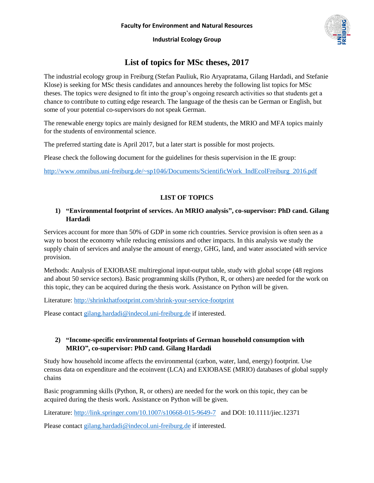# **List of topics for MSc theses, 2017**

The industrial ecology group in Freiburg (Stefan Pauliuk, Rio Aryapratama, Gilang Hardadi, and Stefanie Klose) is seeking for MSc thesis candidates and announces hereby the following list topics for MSc theses. The topics were designed to fit into the group's ongoing research activities so that students get a chance to contribute to cutting edge research. The language of the thesis can be German or English, but some of your potential co-supervisors do not speak German.

The renewable energy topics are mainly designed for REM students, the MRIO and MFA topics mainly for the students of environmental science.

The preferred starting date is April 2017, but a later start is possible for most projects.

Please check the following document for the guidelines for thesis supervision in the IE group:

[http://www.omnibus.uni-freiburg.de/~sp1046/Documents/ScientificWork\\_IndEcolFreiburg\\_2016.pdf](http://www.omnibus.uni-freiburg.de/~sp1046/Documents/ScientificWork_IndEcolFreiburg_2016.pdf)

## **LIST OF TOPICS**

#### **1) "Environmental footprint of services. An MRIO analysis", co-supervisor: PhD cand. Gilang Hardadi**

Services account for more than 50% of GDP in some rich countries. Service provision is often seen as a way to boost the economy while reducing emissions and other impacts. In this analysis we study the supply chain of services and analyse the amount of energy, GHG, land, and water associated with service provision.

Methods: Analysis of EXIOBASE multiregional input-output table, study with global scope (48 regions and about 50 service sectors). Basic programming skills (Python, R, or others) are needed for the work on this topic, they can be acquired during the thesis work. Assistance on Python will be given.

Literature:<http://shrinkthatfootprint.com/shrink-your-service-footprint>

Please contact [gilang.hardadi@indecol.uni-freiburg.de](mailto:gilang.hardadi@indecol.uni-freiburg.de) if interested.

#### **2) "Income-specific environmental footprints of German household consumption with MRIO", co-supervisor: PhD cand. Gilang Hardadi**

Study how household income affects the environmental (carbon, water, land, energy) footprint. Use census data on expenditure and the ecoinvent (LCA) and EXIOBASE (MRIO) databases of global supply chains

Basic programming skills (Python, R, or others) are needed for the work on this topic, they can be acquired during the thesis work. Assistance on Python will be given.

Literature:<http://link.springer.com/10.1007/s10668-015-9649-7> and DOI: 10.1111/jiec.12371

Please contact [gilang.hardadi@indecol.uni-freiburg.de](mailto:gilang.hardadi@indecol.uni-freiburg.de) if interested.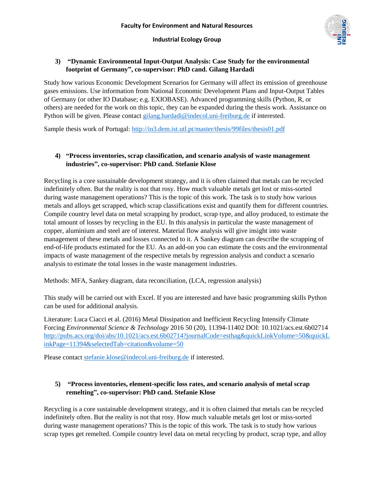

#### **3) "Dynamic Environmental Input-Output Analysis: Case Study for the environmental footprint of Germany", co-supervisor: PhD cand. Gilang Hardadi**

Study how various Economic Development Scenarios for Germany will affect its emission of greenhouse gases emissions. Use information from National Economic Development Plans and Input-Output Tables of Germany (or other IO Database; e.g. EXIOBASE). Advanced programming skills (Python, R, or others) are needed for the work on this topic, they can be expanded during the thesis work. Assistance on Python will be given. Please contact [gilang.hardadi@indecol.uni-freiburg.de](mailto:gilang.hardadi@indecol.uni-freiburg.de) if interested.

Sample thesis work of Portugal:<http://in3.dem.ist.utl.pt/master/thesis/99files/thesis01.pdf>

#### **4) "Process inventories, scrap classification, and scenario analysis of waste management industries", co-supervisor: PhD cand. Stefanie Klose**

Recycling is a core sustainable development strategy, and it is often claimed that metals can be recycled indefinitely often. But the reality is not that rosy. How much valuable metals get lost or miss-sorted during waste management operations? This is the topic of this work. The task is to study how various metals and alloys get scrapped, which scrap classifications exist and quantify them for different countries. Compile country level data on metal scrapping by product, scrap type, and alloy produced, to estimate the total amount of losses by recycling in the EU. In this analysis in particular the waste management of copper, aluminium and steel are of interest. Material flow analysis will give insight into waste management of these metals and losses connected to it. A Sankey diagram can describe the scrapping of end-of-life products estimated for the EU. As an add-on you can estimate the costs and the environmental impacts of waste management of the respective metals by regression analysis and conduct a scenario analysis to estimate the total losses in the waste management industries.

Methods: MFA, Sankey diagram, data reconciliation, (LCA, regression analysis)

This study will be carried out with Excel. If you are interested and have basic programming skills Python can be used for additional analysis.

Literature: Luca Ciacci et al. (2016) Metal Dissipation and Inefficient Recycling Intensify Climate Forcing *Environmental Science & Technology* 2016 50 (20), 11394-11402 DOI: 10.1021/acs.est.6b02714 [http://pubs.acs.org/doi/abs/10.1021/acs.est.6b02714?journalCode=esthag&quickLinkVolume=50&quickL](http://pubs.acs.org/doi/abs/10.1021/acs.est.6b02714?journalCode=esthag&quickLinkVolume=50&quickLinkPage=11394&selectedTab=citation&volume=50) [inkPage=11394&selectedTab=citation&volume=50](http://pubs.acs.org/doi/abs/10.1021/acs.est.6b02714?journalCode=esthag&quickLinkVolume=50&quickLinkPage=11394&selectedTab=citation&volume=50)

Please contact [stefanie.klose@indecol.uni-freiburg.de](mailto:stefanie.klose@indecol.uni-freiburg.de) if interested.

# **5) "Process inventories, element-specific loss rates, and scenario analysis of metal scrap remelting", co-supervisor: PhD cand. Stefanie Klose**

Recycling is a core sustainable development strategy, and it is often claimed that metals can be recycled indefinitely often. But the reality is not that rosy. How much valuable metals get lost or miss-sorted during waste management operations? This is the topic of this work. The task is to study how various scrap types get remelted. Compile country level data on metal recycling by product, scrap type, and alloy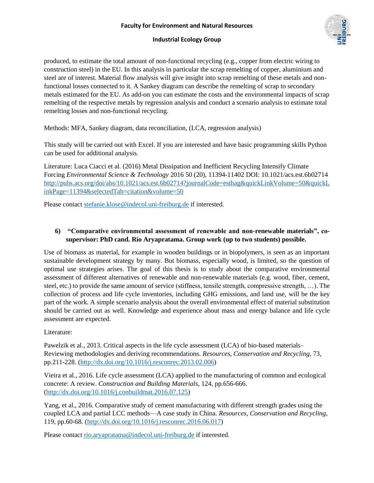produced, to estimate the total amount of non-functional recycling (e.g., copper from electric wiring to construction steel) in the EU. In this analysis in particular the scrap remelting of copper, aluminium and steel are of interest. Material flow analysis will give insight into scrap remelting of these metals and nonfunctional losses connected to it. A Sankey diagram can describe the remelting of scrap to secondary metals estimated for the EU. As add-on you can estimate the costs and the environmental impacts of scrap remelting of the respective metals by regression analysis and conduct a scenario analysis to estimate total remelting losses and non-functional recycling.

Methods: MFA, Sankey diagram, data reconciliation, (LCA, regression analysis)

This study will be carried out with Excel. If you are interested and have basic programming skills Python can be used for additional analysis.

Literature: Luca Ciacci et al. (2016) Metal Dissipation and Inefficient Recycling Intensify Climate Forcing *Environmental Science & Technology* 2016 50 (20), 11394-11402 DOI: 10.1021/acs.est.6b02714 [http://pubs.acs.org/doi/abs/10.1021/acs.est.6b02714?journalCode=esthag&quickLinkVolume=50&quickL](http://pubs.acs.org/doi/abs/10.1021/acs.est.6b02714?journalCode=esthag&quickLinkVolume=50&quickLinkPage=11394&selectedTab=citation&volume=50) [inkPage=11394&selectedTab=citation&volume=50](http://pubs.acs.org/doi/abs/10.1021/acs.est.6b02714?journalCode=esthag&quickLinkVolume=50&quickLinkPage=11394&selectedTab=citation&volume=50)

Please contact [stefanie.klose@indecol.uni-freiburg.de](mailto:stefanie.klose@indecol.uni-freiburg.de) if interested.

# **6) "Comparative environmental assessment of renewable and non-renewable materials", cosupervisor: PhD cand. Rio Aryapratama. Group work (up to two students) possible.**

Use of biomass as material, for example in wooden buildings or in biopolymers, is seen as an important sustainable development strategy by many. But biomass, especially wood, is limited, so the question of optimal use strategies arises. The goal of this thesis is to study about the comparative environmental assessment of different alternatives of renewable and non-renewable materials (e.g. wood, fiber, cement, steel, etc.) to provide the same amount of service (stiffness, tensile strength, compressive strength, …). The collection of process and life cycle inventories, including GHG emissions, and land use, will be the key part of the work. A simple scenario analysis about the overall environmental effect of material substitution should be carried out as well. Knowledge and experience about mass and energy balance and life cycle assessment are expected.

# Literature:

Pawelzik et al., 2013. Critical aspects in the life cycle assessment (LCA) of bio-based materials– Reviewing methodologies and deriving recommendations. *Resources, Conservation and Recycling*, 73, pp.211-228. [\(http://dx.doi.org/10.1016/j.resconrec.2013.02.006\)](http://dx.doi.org/10.1016/j.resconrec.2013.02.006)

Vieira et al., 2016. Life cycle assessment (LCA) applied to the manufacturing of common and ecological concrete: A review. *Construction and Building Materials*, 124, pp.656-666. [\(http://dx.doi.org/10.1016/j.conbuildmat.2016.07.125\)](http://dx.doi.org/10.1016/j.conbuildmat.2016.07.125)

Yang, et al., 2016. Comparative study of cement manufacturing with different strength grades using the coupled LCA and partial LCC methods—A case study in China. *Resources, Conservation and Recycling*, 119, pp.60-68. [\(http://dx.doi.org/10.1016/j.resconrec.2016.06.017\)](http://dx.doi.org/10.1016/j.resconrec.2016.06.017)

Please contact [rio.aryapratama@indecol.uni-freiburg.de](mailto:rio.aryapratama@indecol.uni-freiburg.de) if interested.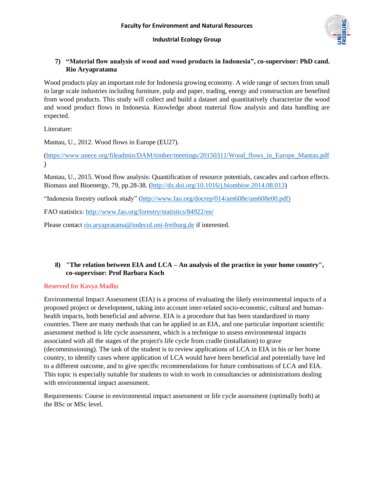## **7) "Material flow analysis of wood and wood products in Indonesia", co-supervisor: PhD cand. Rio Aryapratama**

Wood products play an important role for Indonesia growing economy. A wide range of sectors from small to large scale industries including furniture, pulp and paper, trading, energy and construction are benefited from wood products. This study will collect and build a dataset and quantitatively characterize the wood and wood product flows in Indonesia. Knowledge about material flow analysis and data handling are expected.

Literature:

Mantau, U., 2012. Wood flows in Europe (EU27).

[\(https://www.unece.org/fileadmin/DAM/timber/meetings/20150311/Wood\\_flows\\_in\\_Europe\\_Mantau.pdf](https://www.unece.org/fileadmin/DAM/timber/meetings/20150311/Wood_flows_in_Europe_Mantau.pdf)  $\mathcal{L}$ 

Mantau, U., 2015. Wood flow analysis: Quantification of resource potentials, cascades and carbon effects. Biomass and Bioenergy, 79, pp.28-38. [\(http://dx.doi.org/10.1016/j.biombioe.2014.08.013\)](http://dx.doi.org/10.1016/j.biombioe.2014.08.013)

"Indonesia forestry outlook study" [\(http://www.fao.org/docrep/014/am608e/am608e00.pdf\)](http://www.fao.org/docrep/014/am608e/am608e00.pdf)

FAO statistics:<http://www.fao.org/forestry/statistics/84922/en/>

Please contact [rio.aryapratama@indecol.uni-freiburg.de](mailto:rio.aryapratama@indecol.uni-freiburg.de) if interested.

## **8) "The relation between EIA and LCA – An analysis of the practice in your home country", co-supervisor: Prof Barbara Koch**

#### Reserved for Kavya Madhu

Environmental Impact Assessment (EIA) is a process of evaluating the likely environmental impacts of a proposed project or development, taking into account inter-related socio-economic, cultural and humanhealth impacts, both beneficial and adverse. EIA is a procedure that has been standardized in many countries. There are many methods that can be applied in an EIA, and one particular important scientific assessment method is life cycle assessment, which is a technique to assess environmental impacts associated with all the stages of the project's life cycle from cradle (installation) to grave (decommissioning). The task of the student is to review applications of LCA in EIA in his or her home country, to identify cases where application of LCA would have been beneficial and potentially have led to a different outcome, and to give specific recommendations for future combinations of LCA and EIA. This topic is especially suitable for students to wish to work in consultancies or administrations dealing with environmental impact assessment.

Requirements: Course in environmental impact assessment or life cycle assessment (optimally both) at the BSc or MSc level.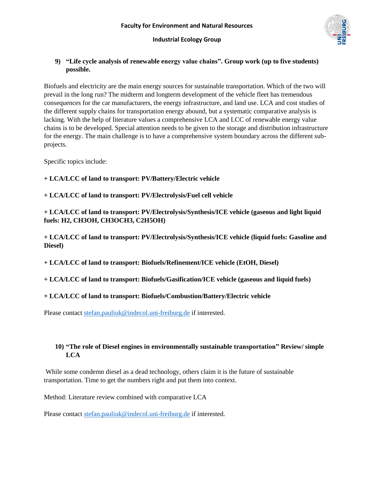## **9) "Life cycle analysis of renewable energy value chains". Group work (up to five students) possible.**

Biofuels and electricity are the main energy sources for sustainable transportation. Which of the two will prevail in the long run? The midterm and longterm development of the vehicle fleet has tremendous consequences for the car manufacturers, the energy infrastructure, and land use. LCA and cost studies of the different supply chains for transportation energy abound, but a systematic comparative analysis is lacking. With the help of literature values a comprehensive LCA and LCC of renewable energy value chains is to be developed. Special attention needs to be given to the storage and distribution infrastructure for the energy. The main challenge is to have a comprehensive system boundary across the different subprojects.

Specific topics include:

#### **+ LCA/LCC of land to transport: PV/Battery/Electric vehicle**

#### **+ LCA/LCC of land to transport: PV/Electrolysis/Fuel cell vehicle**

**+ LCA/LCC of land to transport: PV/Electrolysis/Synthesis/ICE vehicle (gaseous and light liquid fuels: H2, CH3OH, CH3OCH3, C2H5OH)**

**+ LCA/LCC of land to transport: PV/Electrolysis/Synthesis/ICE vehicle (liquid fuels: Gasoline and Diesel)**

**+ LCA/LCC of land to transport: Biofuels/Refinement/ICE vehicle (EtOH, Diesel)**

**+ LCA/LCC of land to transport: Biofuels/Gasification/ICE vehicle (gaseous and liquid fuels)**

# **+ LCA/LCC of land to transport: Biofuels/Combustion/Battery/Electric vehicle**

Please contact [stefan.pauliuk@indecol.uni-freiburg.de](mailto:stefan.pauliuk@indecol.uni-freiburg.de) if interested.

## **10) "The role of Diesel engines in environmentally sustainable transportation" Review/ simple LCA**

While some condemn diesel as a dead technology, others claim it is the future of sustainable transportation. Time to get the numbers right and put them into context.

Method: Literature review combined with comparative LCA

Please contact [stefan.pauliuk@indecol.uni-freiburg.de](mailto:stefan.pauliuk@indecol.uni-freiburg.de) if interested.